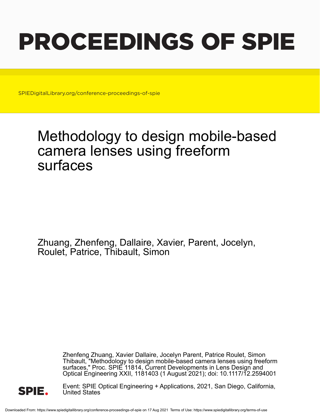# PROCEEDINGS OF SPIE

SPIEDigitalLibrary.org/conference-proceedings-of-spie

## Methodology to design mobile-based camera lenses using freeform surfaces

Zhuang, Zhenfeng, Dallaire, Xavier, Parent, Jocelyn, Roulet, Patrice, Thibault, Simon

> Zhenfeng Zhuang, Xavier Dallaire, Jocelyn Parent, Patrice Roulet, Simon Thibault, "Methodology to design mobile-based camera lenses using freeform surfaces," Proc. SPIE 11814, Current Developments in Lens Design and Optical Engineering XXII, 1181403 (1 August 2021); doi: 10.1117/12.2594001



Event: SPIE Optical Engineering + Applications, 2021, San Diego, California, United States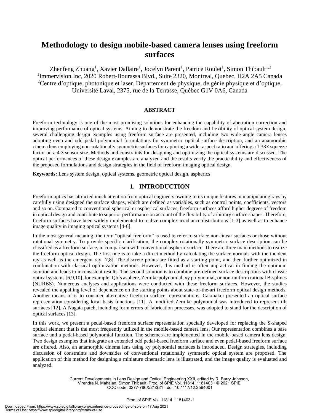### **Methodology to design mobile-based camera lenses using freeform surfaces**

Zhenfeng Zhuang<sup>1</sup>, Xavier Dallaire<sup>1</sup>, Jocelyn Parent<sup>1</sup>, Patrice Roulet<sup>1</sup>, Simon Thibault<sup>1,2</sup> <sup>1</sup>Immervision Inc, 2020 Robert-Bourassa Blvd., Suite 2320, Montreal, Quebec, H2A 2A5 Canada <sup>2</sup>Centre d'optique, photonique et laser, Département de physique, de génie physique et d'optique, Université Laval, 2375, rue de la Terrasse, Québec G1V 0A6, Canada

#### **ABSTRACT**

Freeform technology is one of the most promising solutions for enhancing the capability of aberration correction and improving performance of optical systems. Aiming to demonstrate the freedom and flexibility of optical system design, several challenging design examples using freeform surface are presented, including two wide-angle camera lenses adopting even and odd pedal polynomial formulations for symmetric optical surface description, and an anamorphic cinema lens employing non-rotationally symmetric surfaces for capturing a wider aspect ratio and offering a  $1.33 \times$  squeeze factor on a 4:3 sensor size. Methods and constraints for designing and optimizing the optical systems are discussed. The optical performances of these design examples are analyzed and the results verify the practicability and effectiveness of the proposed formulations and design strategies in the field of freeform imaging optical design.

**Keywords:** Lens system design, optical systems, geometric optical design, aspherics

#### **1. INTRODUCTION**

Freeform optics has attracted much attention from optical engineers owning to its unique features in manipulating rays by carefully using designed the surface shapes, which are defined as variables, such as control points, coefficients, vectors and so on. Compared to conventional spherical or aspherical surfaces, freeform surfaces afford higher degrees of freedom in optical design and contribute to superior performance on account of the flexibility of arbitrary surface shapes. Therefore, freeform surfaces have been widely implemented to realize complex irradiance distributions [1-3] as well as to enhance image quality in imaging optical systems [4-6].

In the most general meaning, the term "optical freeform" is used to refer to surface non-linear surfaces or those without rotational symmetry. To provide specific clarification, the complex rotationally symmetric surface description can be classified as a freeform surface, in comparison with conventional aspheric surface. There are three main methods to realize the freeform optical design. The first one is to take a direct method by calculating the surface normals with the incident ray as well as the emergent ray [7,8]. The discrete points are fitted as a starting point, and then further optimized in combination with classical optimization methods. However, this method is often unpractical in finding the optimum solution and leads to inconsistent results. The second solution is to combine pre-defined surface descriptions with classic optical systems [6,9,10], for example: Qbfs asphere, Zernike polynomial, xy polynomial, or non-uniform rational B-splines (NURBS). Numerous analyses and applications were conducted with these freeform surfaces. However, the studies revealed the appalling level of dependence on the starting points about state-of-the-art freeform optical design methods. Another means of is to consider alternative freeform surface representations. Cakmakci presented an optical surface representation considering local basis functions [11]. A modified Zernike polynomial was introduced to represent tilt surfaces [12]. A Nagata patch, including form errors of fabrication processes, was adopted to stand for the description of optical surfaces [13].

In this work, we present a pedal-based freeform surface representation specially developed for replacing the S-shaped optical element that is the most frequently utilized in the mobile-based camera lens. Our representation combines a base surface and a pedal-based polynomial function. The schemes are implemented in the mobile-based camera lens design. Two design examples that integrate an extended odd pedal-based freeform surface and even pedal-based freeform surface are offered. Also, an anamorphic cinema lens using xy polynomial surfaces is introduced. Design strategies, including discussion of constraints and downsides of conventional rotationally symmetric optical system are proposed. The application of this method for designing a miniature cinematic lens is illustrated, and the image quality is evaluated and analyzed.

> Current Developments in Lens Design and Optical Engineering XXII, edited by R. Barry Johnson, Virendra N. Mahajan, Simon Thibault, Proc. of SPIE Vol. 11814, 1181403 · © 2021 SPIE CCC code: 0277-786X/21/\$21 · doi: 10.1117/12.2594001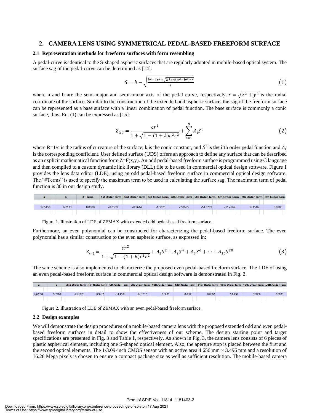#### **2. CAMERA LENS USING SYMMETRICAL PEDAL-BASED FREEFORM SURFACE**

#### **2.1 Representation methods for freeform surfaces with form resembling**

A pedal-curve is identical to the S-shaped aspheric surfaces that are regularly adopted in mobile-based optical system. The surface sag of the pedal-curve can be determined as [14]:

$$
S = b - \sqrt{\frac{b^2 - 2r^2 + \sqrt{b^4 + 4(a^2 - b^2)r^2}}{2}} \tag{1}
$$

where a and b are the semi-major and semi-minor axis of the pedal curve, respectively.  $r = \sqrt{x^2 + y^2}$  is the radial coordinate of the surface. Similar to the construction of the extended odd aspheric surface, the sag of the freeform surface can be represented as a base surface with a linear combination of pedal function. The base surface is commonly a conic surface, thus, Eq. (1) can be expressed as [15]:

$$
Z_{(r)} = \frac{cr^2}{1 + \sqrt{1 - (1 + k)c^2r^2}} + \sum_{i=1}^{n} A_i S^i
$$
 (2)

where R=1/c is the radius of curvature of the surface, k is the conic constant, and  $S^i$  is the i'th order pedal function and  $A_i$ is the corresponding coefficient. User defined surface (UDS) offers an approach to define any surface that can be described as an explicit mathematical function form  $Z = F(x,y)$ . An odd pedal-based freeform surface is programmed using C language and then compiled to a custom dynamic link library (DLL) file to be used in commercial optical design software. Figure 1 provides the lens data editor (LDE), using an odd pedal-based freeform surface in commercial optical design software. The "#Terms" is used to specify the maximum term to be used in calculating the surface sag. The maximum term of pedal function is 30 in our design study.

|         |        | # Terms |           | 1st Order Term 2nd Order Term 3rd Order Term 4th Order Term 5th Order Term 6th Order Term 7th Order Term 8th Order Term |           |           |            |            |        |       |
|---------|--------|---------|-----------|-------------------------------------------------------------------------------------------------------------------------|-----------|-----------|------------|------------|--------|-------|
| 17.5159 | 6.2133 | 8.0000  | $-0.0369$ | $-0.9614$                                                                                                               | $-1.3076$ | $-7.0665$ | $-14.3799$ | $-11.4264$ | 6.1516 | 8.828 |
|         |        |         |           |                                                                                                                         |           |           |            |            |        |       |

Figure 1. Illustration of LDE of ZEMAX with extended odd pedal-based freeform surface.

Furthermore, an even polynomial can be constructed for characterizing the pedal-based freeform surface. The even polynomial has a similar construction to the even aspheric surface, as expressed in:

$$
Z_{(r)} = \frac{cr^2}{1 + \sqrt{1 - (1 + k)c^2r^2}} + A_1S^2 + A_2S^4 + A_3S^6 + \dots + A_{10}S^{20}
$$
\n<sup>(3)</sup>

The same scheme is also implemented to characterize the proposed even pedal-based freeform surface. The LDE of using an even pedal-based freeform surface in commercial optical design software is demonstrated in Fig. 2.

|         |        |           |        |            |         |        |        | 2nd Order Term 4th Order Term 6th Order Term 8th Order Term 10th Order Term 12th Order Term 14th Order Term 16th Order Term 18th Order Term 20th Order Term |        |        |        |
|---------|--------|-----------|--------|------------|---------|--------|--------|-------------------------------------------------------------------------------------------------------------------------------------------------------------|--------|--------|--------|
|         |        |           |        |            |         |        |        |                                                                                                                                                             |        |        |        |
| 24,8594 | 9.7268 | $-2,2692$ | 0.3772 | $-14.4188$ | 39,3707 | 0.0000 | 0.0000 | 0.0000                                                                                                                                                      | 0.0000 | 0.0000 | 0.0000 |
|         |        |           |        |            |         |        |        |                                                                                                                                                             |        |        |        |

Figure 2. Illustration of LDE of ZEMAX with an even pedal-based freeform surface.

#### **2.2 Design examples**

We will demonstrate the design procedures of a mobile-based camera lens with the proposed extended odd and even pedalbased freeform surfaces in detail to show the effectiveness of our scheme. The design starting point and target specifications are presented in Fig. 3 and Table 1, respectively. As shown in Fig. 3, the camera lens consists of 6 pieces of plastic aspherical element, including one S-shaped optical element. Also, the aperture stop is placed between the first and the second optical elements. The  $1/3.09$ -inch CMOS sensor with an active area 4.656 mm  $\times$  3.496 mm and a resolution of 16.28 Mega pixels is chosen to ensure a compact package size as well as sufficient resolution. The mobile-based camera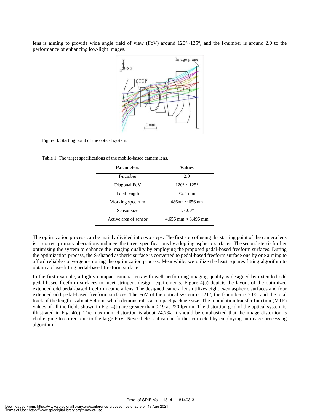lens is aiming to provide wide angle field of view (FoV) around  $120^{\circ}$  ~ $125^{\circ}$ , and the f-number is around 2.0 to the performance of enhancing low-light images.



Figure 3. Starting point of the optical system.

Table 1. The target specifications of the mobile-based camera lens.

| <b>Parameters</b>        | Values                         |  |  |  |  |
|--------------------------|--------------------------------|--|--|--|--|
| f-number                 | 2.0                            |  |  |  |  |
| Diagonal Fo <sub>V</sub> | $120^{\circ} \sim 125^{\circ}$ |  |  |  |  |
| Total length             | $<$ 5.5 mm                     |  |  |  |  |
| Working spectrum         | $486$ nm ~ 656 nm              |  |  |  |  |
| Sensor size              | 1/3.09"                        |  |  |  |  |
| Active area of sensor    | 4.656 mm $\times$ 3.496 mm     |  |  |  |  |

The optimization process can be mainly divided into two steps. The first step of using the starting point of the camera lens is to correct primary aberrations and meet the target specifications by adopting aspheric surfaces. The second step is further optimizing the system to enhance the imaging quality by employing the proposed pedal-based freeform surfaces. During the optimization process, the S-shaped aspheric surface is converted to pedal-based freeform surface one by one aiming to afford reliable convergence during the optimization process. Meanwhile, we utilize the least squares fitting algorithm to obtain a close-fitting pedal-based freeform surface.

In the first example, a highly compact camera lens with well-performing imaging quality is designed by extended odd pedal-based freeform surfaces to meet stringent design requirements. Figure 4(a) depicts the layout of the optimized extended odd pedal-based freeform camera lens. The designed camera lens utilizes eight even aspheric surfaces and four extended odd pedal-based freeform surfaces. The FoV of the optical system is 121°, the f-number is 2.06, and the total track of the length is about 5.4mm, which demonstrates a compact package size. The modulation transfer function (MTF) values of all the fields shown in Fig. 4(b) are greater than 0.19 at 220 lp/mm. The distortion grid of the optical system is illustrated in Fig. 4(c). The maximum distortion is about 24.7%. It should be emphasized that the image distortion is challenging to correct due to the large FoV. Nevertheless, it can be further corrected by employing an image-processing algorithm.

Proc. of SPIE Vol. 11814 1181403-3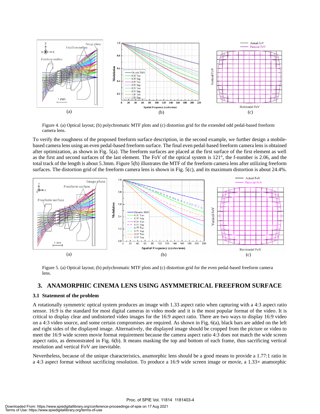

Figure 4. (a) Optical layout; (b) polychromatic MTF plots and (c) distortion grid for the extended odd pedal-based freeform camera lens.

To verify the roughness of the proposed freeform surface description, in the second example, we further design a mobilebased camera lens using an even pedal-based freeform surface. The final even pedal-based freeform camera lens is obtained after optimization, as shown in Fig. 5(a). The freeform surfaces are placed at the first surface of the first element as well as the first and second surfaces of the last element. The FoV of the optical system is 121°, the f-number is 2.06, and the total track of the length is about 5.3mm. Figure 5(b) illustrates the MTF of the freeform camera lens after utilizing freeform surfaces. The distortion grid of the freeform camera lens is shown in Fig. 5(c), and its maximum distortion is about 24.4%.



Figure 5. (a) Optical layout; (b) polychromatic MTF plots and (c) distortion grid for the even pedal-based freeform camera lens.

#### **3. ANAMORPHIC CINEMA LENS USING ASYMMETRICAL FREEFROM SURFACE**

#### **3.1 Statement of the problem**

A rotationally symmetric optical system produces an image with 1.33 aspect ratio when capturing with a 4:3 aspect ratio sensor. 16:9 is the standard for most digital cameras in video mode and it is the most popular format of the video. It is critical to display clear and undistorted video images for the 16:9 aspect ratio. There are two ways to display 16:9 video on a 4:3 video source, and some certain compromises are required. As shown in Fig. 6(a), black bars are added on the left and right sides of the displayed image. Alternatively, the displayed image should be cropped from the picture or video to meet the 16:9 wide screen movie format requirement because the camera aspect ratio 4:3 does not match the wide screen aspect ratio, as demonstrated in Fig. 6(b). It means masking the top and bottom of each frame, thus sacrificing vertical resolution and vertical FoV are inevitable.

Nevertheless, because of the unique characteristics, anamorphic lens should be a good means to provide a 1.77:1 ratio in a 4:3 aspect format without sacrificing resolution. To produce a 16:9 wide screen image or movie, a 1.33× anamorphic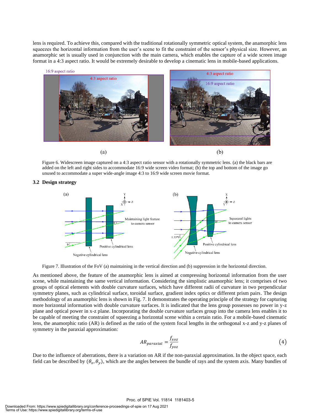lens is required. To achieve this, compared with the traditional rotationally symmetric optical system, the anamorphic lens squeezes the horizontal information from the user's scene to fit the constraint of the sensor's physical size. However, an anamorphic set is usually used in conjunction with the main camera, which enables the capture of a wide screen image format in a 4:3 aspect ratio. It would be extremely desirable to develop a cinematic lens in mobile-based applications.



Figure 6. Widescreen image captured on a 4:3 aspect ratio sensor with a rotationally symmetric lens. (a) the black bars are added on the left and right sides to accommodate 16:9 wide screen video format; (b) the top and bottom of the image go unused to accommodate a super wide-angle image 4:3 to 16:9 wide screen movie format.

#### **3.2 Design strategy**



Figure 7. Illustration of the FoV (a) maintaining in the vertical direction and (b) suppression in the horizontal direction.

As mentioned above, the feature of the anamorphic lens is aimed at compressing horizontal information from the user scene, while maintaining the same vertical information. Considering the simplistic anamorphic lens; it comprises of two groups of optical elements with double curvature surfaces, which have different radii of curvature in two perpendicular symmetry planes, such as cylindrical surface, toroidal surface, gradient index optics or different prism pairs. The design methodology of an anamorphic lens is shown in Fig. 7. It demonstrates the operating principle of the strategy for capturing more horizontal information with double curvature surfaces. It is indicated that the lens group possesses no power in y-z plane and optical power in x-z plane. Incorporating the double curvature surfaces group into the camera lens enables it to be capable of meeting the constraint of squeezing a horizontal scene within a certain ratio. For a mobile-based cinematic lens, the anamorphic ratio (AR) is defined as the ratio of the system focal lengths in the orthogonal x-z and y-z planes of symmetry in the paraxial approximation:

$$
AR_{paraxial} = \frac{f_{xoz}}{f_{yoz}}\tag{4}
$$

Due to the influence of aberrations, there is a variation on AR if the non-paraxial approximation. In the object space, each field can be described by  $(\theta_x, \theta_y)$ , which are the angles between the bundle of rays and the system axis. Many bundles of

#### Proc. of SPIE Vol. 11814 1181403-5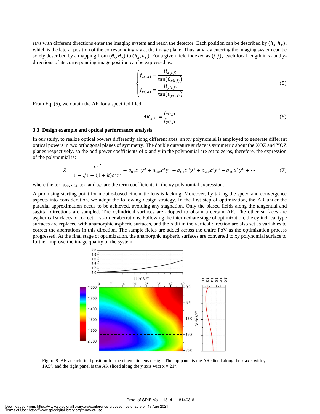rays with different directions enter the imaging system and reach the detector. Each position can be described by  $(h_x, h_y)$ , which is the lateral position of the corresponding ray at the image plane. Thus, any ray entering the imaging system can be solely described by a mapping from  $(\theta_x, \theta_y)$  to  $(h_x, h_y)$ . For a given field indexed as  $(i, j)$ , each focal length in x- and ydirections of its corresponding image position can be expressed as:

$$
\begin{cases}\nf_{x(i,j)} = \frac{H_{x(i,j)}}{\tan(\theta_{x(i,j)})} \\
f_{y(i,j)} = \frac{H_{y(i,j)}}{\tan(\theta_{y(i,j)})}\n\end{cases}
$$
\n(5)

From Eq. (5), we obtain the AR for a specified filed:

$$
AR_{(i,j)} = \frac{f_{x(i,j)}}{f_{y(i,j)}}
$$
(6)

#### **3.3 Design example and optical performance analysis**

In our study, to realize optical powers differently along different axes, an xy polynomial is employed to generate different optical powers in two orthogonal planes of symmetry. The double curvature surface is symmetric about the XOZ and YOZ planes respectively, so the odd power coefficients of x and y in the polynomial are set to zeros, therefore, the expression of the polynomial is:

$$
Z = \frac{cr^2}{1 + \sqrt{1 - (1 + k)c^2r^2}} + a_{02}x^0y^2 + a_{20}x^2y^0 + a_{04}x^0y^4 + a_{22}x^2y^2 + a_{40}x^4y^0 + \cdots
$$
 (7)

where the  $a_{02}$ ,  $a_{20}$ ,  $a_{04}$ ,  $a_{22}$ , and  $a_{40}$  are the term coefficients in the xy polynomial expression.

A promising starting point for mobile-based cinematic lens is lacking. Moreover, by taking the speed and convergence aspects into consideration, we adopt the following design strategy. In the first step of optimization, the AR under the paraxial approximation needs to be achieved, avoiding any stagnation. Only the biased fields along the tangential and sagittal directions are sampled. The cylindrical surfaces are adopted to obtain a certain AR. The other surfaces are aspherical surfaces to correct first-order aberrations. Following the intermediate stage of optimization, the cylindrical type surfaces are replaced with anamorphic aspheric surfaces, and the radii in the vertical direction are also set as variables to correct the aberrations in this direction. The sample fields are added across the entire FoV as the optimization process progressed. At the final stage of optimization, the anamorphic aspheric surfaces are converted to xy polynomial surface to further improve the image quality of the system.



Figure 8. AR at each field position for the cinematic lens design. The top panel is the AR sliced along the x axis with  $y =$ 19.5°, and the right panel is the AR sliced along the y axis with  $x = 21^\circ$ .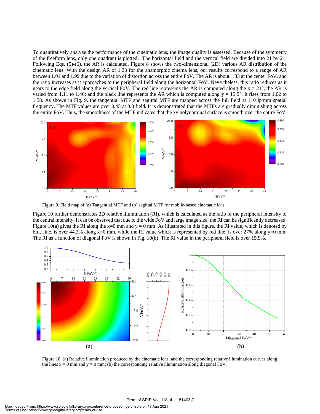To quantitatively analyze the performance of the cinematic lens, the image quality is assessed. Because of the symmetry of the freeform lens, only one quadrant is plotted. The horizontal field and the vertical field are divided into 21 by 21. Following Eqs. (5)-(6), the AR is calculated. Figure 8 shows the two-dimensional (2D) various AR distribution of the cinematic lens. With the design AR of 1.33 for the anamorphic cinema lens, our results correspond to a range of AR between 1.01 and 1.99 due to the variation of distortion across the entire FoV. The AR is about 1.33 at the center FoV, and the ratio increases as it approaches to the peripheral field along the horizontal FoV. Nevertheless, this ratio reduces as it nears to the edge field along the vertical FoV. The red line represents the AR is computed along the  $x = 21^\circ$ , the AR is varied from 1.11 to 1.46; and the black line represents the AR which is computed along  $y = 19.5^\circ$ . It rises from 1.02 to 1.58. As shown in Fig. 9, the tangential MTF and sagittal MTF are mapped across the full field at 110 lp/mm spatial frequency. The MTF values are over 0.45 at 0.8 field. It is demonstrated that the MTFs are gradually diminishing across the entire FoV. Thus, the smoothness of the MTF indicates that the xy polynominal surface is smooth over the entire FoV.



Figure 9. Field map of (a) Tangential MTF and (b) sagittal MTF for mobile-based cinematic lens.

Figure 10 further demonstrates 2D relative illumination (RI), which is calculated as the ratio of the peripheral intensity to the central intensity. It can be observed that due to the wide FoV and large image size, the RI can be significantly decreased. Figure 10(a) gives the RI along the  $x=0$  mm and  $y = 0$  mm. As illustrated in this figure, the RI value, which is denoted by blue line, is over 44.3% along x=0 mm, while the RI value which is represented by red line, is over 27% along y=0 mm. The RI as a function of diagonal FoV is shown in Fig. 10(b). The RI value in the peripheral field is over 15.9%.



Figure 10. (a) Relative illumination produced by the cinematic lens, and the corresponding relative illumination curves along the lines  $x = 0$  mm and  $y = 0$  mm; (b) the corresponding relative illumination along diagonal FoV.

#### Proc. of SPIE Vol. 11814 1181403-7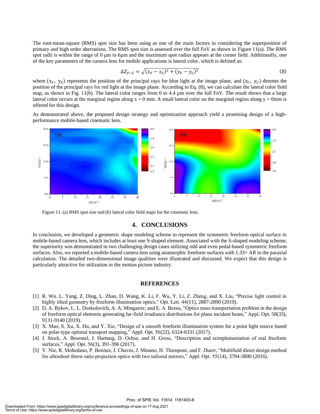The root-mean-square (RMS) spot size has been using as one of the main factors in considering the superposition of primary and high order aberrations. The RMS spot size is assessed over the full FoV as shown in Figure 11(a). The RMS spot radii is within the range of  $0 \mu$ m to 6 $\mu$ m and the maximum spot radius appears at the corner field. Additionally, one of the key parameters of the camera lens for mobile applications is lateral color, which is defined as:

$$
\Delta Z_{F-C} = \sqrt{(x_F - x_C)^2 + (y_F - y_C)^2}
$$
\n(8)

where  $(x_F, y_F)$  represents the position of the principal rays for blue light at the image plane, and  $(x_C, y_C)$  denotes the position of the principal rays for red light at the image plane. According to Eq. (8), we can calculate the lateral color field map, as shown in Fig. 11(b). The lateral color ranges from 0 to 4.4 µm over the full FoV. The result shows that a large lateral color occurs at the marginal region along  $x = 0$  mm. A small lateral color on the marginal region along  $y = 0$ mm is offered for this design.

As demonstrated above, the proposed design strategy and optimization approach yield a promising design of a highperformance mobile-based cinematic lens.



Figure 11. (a) RMS spot size and (b) lateral color field maps for the cinematic lens.

#### **4. CONCLUSIONS**

In conclusion, we developed a geometric shape modeling scheme to represent the symmetric freeform optical surface in mobile-based camera lens, which includes at least one S-shaped element. Associated with the S-shaped modeling scheme, the superiority was demonstrated in two challenging design cases utilizing odd and even pedal-based symmetric freeform surfaces. Also, we reported a mobile-based camera lens using anamorphic freeform surfaces with 1.33× AR in the paraxial calculation. The detailed two-dimensional image qualities were illustrated and discussed. We expect that this design is particularly attractive for utilization in the motion picture industry.

#### **REFERENCES**

- [1] R. Wu. L. Yang, Z. Ding, L. Zhao, D. Wang, K. Li, F. Wu, Y. Li, Z. Zheng, and X. Liu, "Precise light control in highly tilted geometry by freeform illumination optics," Opt. Lett. 44(11), 2887-2890 (2019).
- [2] D. A. Bykov, L. L. Doskolovich, A. A. Mingazov, and E. A. Bezus, "Optics mass transportation problem in the design of freeform optical elements generating far-field irradiance distributions for plane incident beam," Appl. Opt. 58(33), 9131-9140 (2019).
- [3] X. Mao, S. Xu, X. Hu, and Y. Xie, "Design of a smooth freeform illumination system for a point light source based on polar-type optimal transport mapping," Appl. Opt. 56(22), 6324-6331 (2017).
- [4] J. Stock, A. Broemel, J. Hartung, D. Ochse, and H. Gross, "Description and reimplementation of real freeform surfaces," Appl. Opt. 56(3), 391-396 (2017).
- [5] Y. Nie, R. Mohedano, P. Benitez, J. Chaves, J. Minano, H. Thienpont, and F. Duerr, "Multifield direct design method for ultrashort throw ratio projection optics with two tailored mirrors," Appl. Opt. 55(14), 3794-3800 (2016).